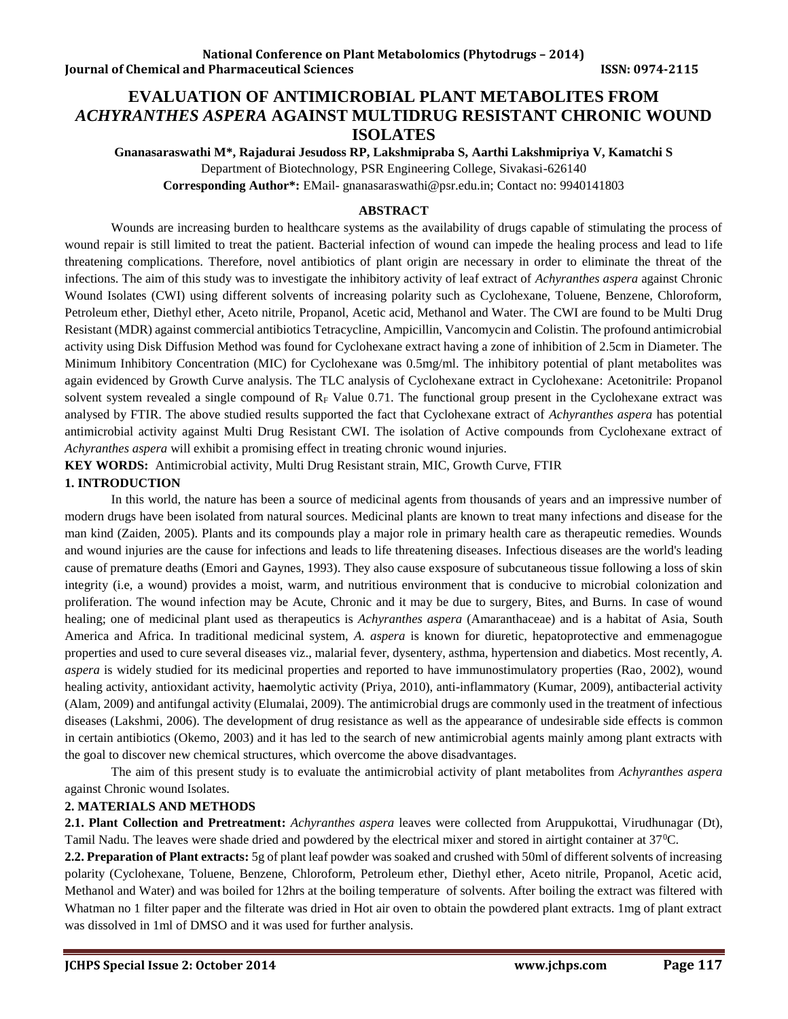# **EVALUATION OF ANTIMICROBIAL PLANT METABOLITES FROM**  *ACHYRANTHES ASPERA* **AGAINST MULTIDRUG RESISTANT CHRONIC WOUND ISOLATES**

**Gnanasaraswathi M\*, Rajadurai Jesudoss RP, Lakshmipraba S, Aarthi Lakshmipriya V, Kamatchi S** Department of Biotechnology, PSR Engineering College, Sivakasi-626140

**Corresponding Author\*:** EMail- [gnanasaraswathi@psr.edu.in;](mailto:gnanasaraswathi@psr.edu.in) Contact no: 9940141803

#### **ABSTRACT**

Wounds are increasing burden to healthcare systems as the availability of drugs capable of stimulating the process of wound repair is still limited to treat the patient. Bacterial infection of wound can impede the healing process and lead to life threatening complications. Therefore, novel antibiotics of plant origin are necessary in order to eliminate the threat of the infections. The aim of this study was to investigate the inhibitory activity of leaf extract of *Achyranthes aspera* against Chronic Wound Isolates (CWI) using different solvents of increasing polarity such as Cyclohexane, Toluene, Benzene, Chloroform, Petroleum ether, Diethyl ether, Aceto nitrile, Propanol, Acetic acid, Methanol and Water. The CWI are found to be Multi Drug Resistant (MDR) against commercial antibiotics Tetracycline, Ampicillin, Vancomycin and Colistin. The profound antimicrobial activity using Disk Diffusion Method was found for Cyclohexane extract having a zone of inhibition of 2.5cm in Diameter. The Minimum Inhibitory Concentration (MIC) for Cyclohexane was 0.5mg/ml. The inhibitory potential of plant metabolites was again evidenced by Growth Curve analysis. The TLC analysis of Cyclohexane extract in Cyclohexane: Acetonitrile: Propanol solvent system revealed a single compound of  $R_F$  Value 0.71. The functional group present in the Cyclohexane extract was analysed by FTIR. The above studied results supported the fact that Cyclohexane extract of *Achyranthes aspera* has potential antimicrobial activity against Multi Drug Resistant CWI. The isolation of Active compounds from Cyclohexane extract of *Achyranthes aspera* will exhibit a promising effect in treating chronic wound injuries.

**KEY WORDS:** Antimicrobial activity, Multi Drug Resistant strain, MIC, Growth Curve, FTIR

# **1. INTRODUCTION**

In this world, the nature has been a source of medicinal agents from thousands of years and an impressive number of modern drugs have been isolated from natural sources. Medicinal plants are known to treat many infections and disease for the man kind (Zaiden, 2005). Plants and its compounds play a major role in primary health care as therapeutic remedies. Wounds and wound injuries are the cause for infections and leads to life threatening diseases. Infectious diseases are the world's leading cause of premature deaths (Emori and Gaynes, 1993). They also cause exsposure of subcutaneous tissue following a loss of skin integrity (i.e, a wound) provides a moist, warm, and nutritious environment that is conducive to microbial colonization and proliferation. The wound infection may be Acute, Chronic and it may be due to surgery, Bites, and Burns. In case of wound healing; one of medicinal plant used as therapeutics is *Achyranthes aspera* (Amaranthaceae) and is a habitat of Asia, South America and Africa. In traditional medicinal system, *A. aspera* is known for diuretic, hepatoprotective and emmenagogue properties and used to cure several diseases viz., malarial fever, dysentery, asthma, hypertension and diabetics. Most recently, *A. aspera* is widely studied for its medicinal properties and reported to have immunostimulatory properties (Rao, 2002), wound healing activity, antioxidant activity, h**a**emolytic activity (Priya, 2010), anti-inflammatory (Kumar, 2009), antibacterial activity (Alam, 2009) and antifungal activity (Elumalai, 2009). The antimicrobial drugs are commonly used in the treatment of infectious diseases (Lakshmi, 2006). The development of drug resistance as well as the appearance of undesirable side effects is common in certain antibiotics (Okemo, 2003) and it has led to the search of new antimicrobial agents mainly among plant extracts with the goal to discover new chemical structures, which overcome the above disadvantages.

The aim of this present study is to evaluate the antimicrobial activity of plant metabolites from *Achyranthes aspera* against Chronic wound Isolates.

# **2. MATERIALS AND METHODS**

**2.1. Plant Collection and Pretreatment:** *Achyranthes aspera* leaves were collected from Aruppukottai, Virudhunagar (Dt), Tamil Nadu. The leaves were shade dried and powdered by the electrical mixer and stored in airtight container at 37<sup>0</sup>C.

**2.2. Preparation of Plant extracts:** 5g of plant leaf powder was soaked and crushed with 50ml of different solvents of increasing polarity (Cyclohexane, Toluene, Benzene, Chloroform, Petroleum ether, Diethyl ether, Aceto nitrile, Propanol, Acetic acid, Methanol and Water) and was boiled for 12hrs at the boiling temperature of solvents. After boiling the extract was filtered with Whatman no 1 filter paper and the filterate was dried in Hot air oven to obtain the powdered plant extracts. 1mg of plant extract was dissolved in 1ml of DMSO and it was used for further analysis.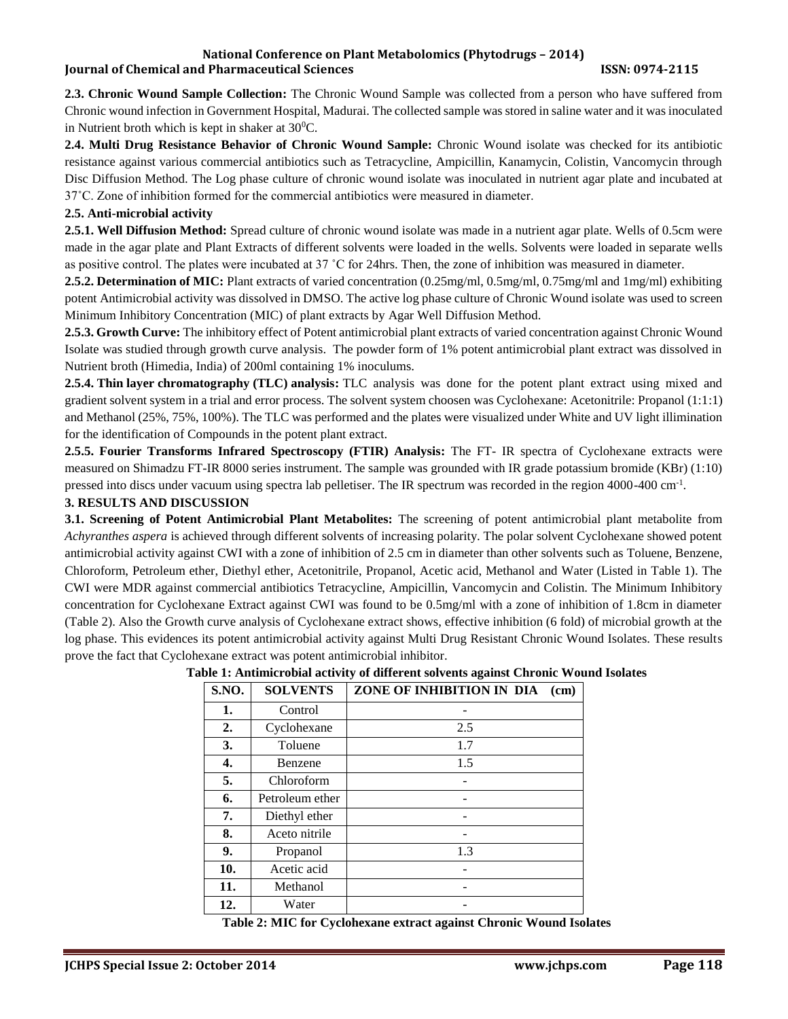#### **National Conference on Plant Metabolomics (Phytodrugs – 2014) Iournal of Chemical and Pharmaceutical Sciences ISSN: 0974-2115**

**2.3. Chronic Wound Sample Collection:** The Chronic Wound Sample was collected from a person who have suffered from Chronic wound infection in Government Hospital, Madurai. The collected sample was stored in saline water and it was inoculated in Nutrient broth which is kept in shaker at  $30^{\circ}$ C.

**2.4. Multi Drug Resistance Behavior of Chronic Wound Sample:** Chronic Wound isolate was checked for its antibiotic resistance against various commercial antibiotics such as Tetracycline, Ampicillin, Kanamycin, Colistin, Vancomycin through Disc Diffusion Method. The Log phase culture of chronic wound isolate was inoculated in nutrient agar plate and incubated at 37˚C. Zone of inhibition formed for the commercial antibiotics were measured in diameter.

# **2.5. Anti-microbial activity**

**2.5.1. Well Diffusion Method:** Spread culture of chronic wound isolate was made in a nutrient agar plate. Wells of 0.5cm were made in the agar plate and Plant Extracts of different solvents were loaded in the wells. Solvents were loaded in separate wells as positive control. The plates were incubated at 37 ˚C for 24hrs. Then, the zone of inhibition was measured in diameter.

**2.5.2. Determination of MIC:** Plant extracts of varied concentration (0.25mg/ml, 0.5mg/ml, 0.75mg/ml and 1mg/ml) exhibiting potent Antimicrobial activity was dissolved in DMSO. The active log phase culture of Chronic Wound isolate was used to screen Minimum Inhibitory Concentration (MIC) of plant extracts by Agar Well Diffusion Method.

**2.5.3. Growth Curve:** The inhibitory effect of Potent antimicrobial plant extracts of varied concentration against Chronic Wound Isolate was studied through growth curve analysis. The powder form of 1% potent antimicrobial plant extract was dissolved in Nutrient broth (Himedia, India) of 200ml containing 1% inoculums.

**2.5.4. Thin layer chromatography (TLC) analysis:** TLC analysis was done for the potent plant extract using mixed and gradient solvent system in a trial and error process. The solvent system choosen was Cyclohexane: Acetonitrile: Propanol (1:1:1) and Methanol (25%, 75%, 100%). The TLC was performed and the plates were visualized under White and UV light illimination for the identification of Compounds in the potent plant extract.

**2.5.5. Fourier Transforms Infrared Spectroscopy (FTIR) Analysis:** The FT- IR spectra of Cyclohexane extracts were measured on Shimadzu FT-IR 8000 series instrument. The sample was grounded with IR grade potassium bromide (KBr) (1:10) pressed into discs under vacuum using spectra lab pelletiser. The IR spectrum was recorded in the region 4000-400 cm<sup>-1</sup>.

# **3. RESULTS AND DISCUSSION**

**3.1. Screening of Potent Antimicrobial Plant Metabolites:** The screening of potent antimicrobial plant metabolite from *Achyranthes aspera* is achieved through different solvents of increasing polarity. The polar solvent Cyclohexane showed potent antimicrobial activity against CWI with a zone of inhibition of 2.5 cm in diameter than other solvents such as Toluene, Benzene, Chloroform, Petroleum ether, Diethyl ether, Acetonitrile, Propanol, Acetic acid, Methanol and Water (Listed in Table 1). The CWI were MDR against commercial antibiotics Tetracycline, Ampicillin, Vancomycin and Colistin. The Minimum Inhibitory concentration for Cyclohexane Extract against CWI was found to be 0.5mg/ml with a zone of inhibition of 1.8cm in diameter (Table 2). Also the Growth curve analysis of Cyclohexane extract shows, effective inhibition (6 fold) of microbial growth at the log phase. This evidences its potent antimicrobial activity against Multi Drug Resistant Chronic Wound Isolates. These results prove the fact that Cyclohexane extract was potent antimicrobial inhibitor.

| S.NO. | <b>SOLVENTS</b> | ZONE OF INHIBITION IN DIA<br>(cm) |
|-------|-----------------|-----------------------------------|
| 1.    | Control         |                                   |
| 2.    | Cyclohexane     | 2.5                               |
| 3.    | Toluene         | 1.7                               |
| 4.    | Benzene         | 1.5                               |
| 5.    | Chloroform      |                                   |
| 6.    | Petroleum ether |                                   |
| 7.    | Diethyl ether   |                                   |
| 8.    | Aceto nitrile   |                                   |
| 9.    | Propanol        | 1.3                               |
| 10.   | Acetic acid     |                                   |
| 11.   | Methanol        |                                   |
| 12.   | Water           |                                   |

# **Table 1: Antimicrobial activity of different solvents against Chronic Wound Isolates**

**Table 2: MIC for Cyclohexane extract against Chronic Wound Isolates**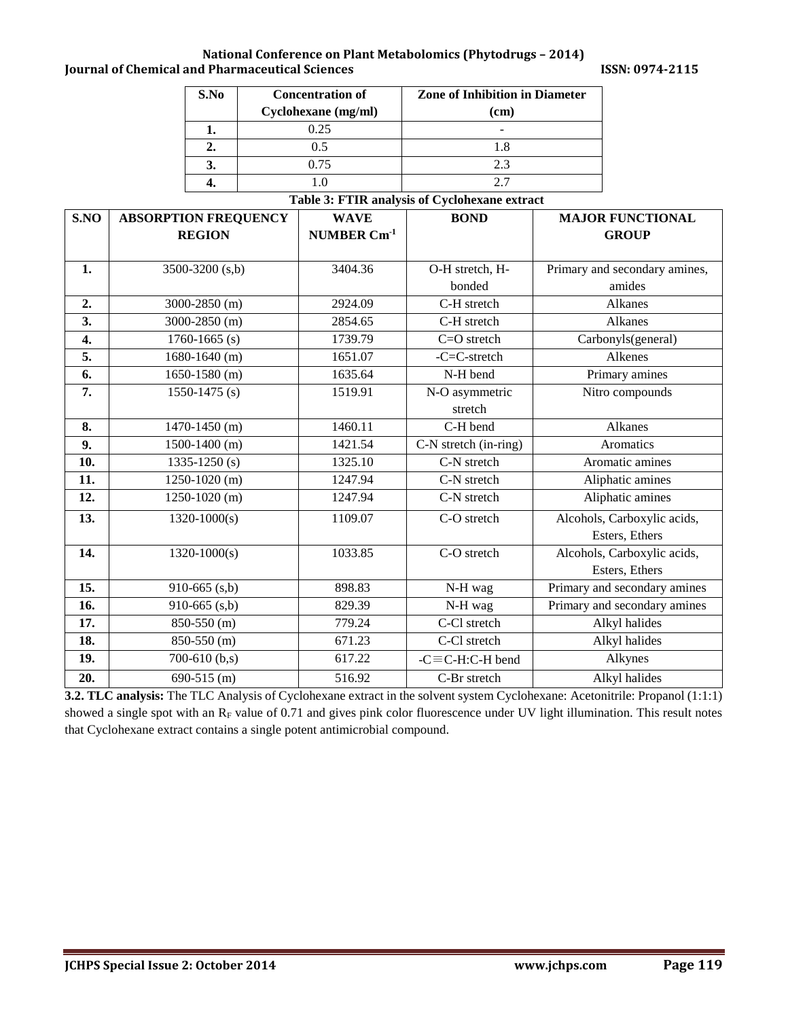#### **National Conference on Plant Metabolomics (Phytodrugs – 2014) Journal of Chemical and Pharmaceutical Sciences ISSN: 0974-2115**

| S.No | <b>Concentration of</b> | <b>Zone of Inhibition in Diameter</b> |  |
|------|-------------------------|---------------------------------------|--|
|      | Cyclohexane (mg/ml)     | (cm)                                  |  |
|      | 0.25                    |                                       |  |
| 2.   | 0.5                     | 1.8                                   |  |
|      | 0.75                    | 2.3                                   |  |
|      |                         |                                       |  |

#### **Table 3: FTIR analysis of Cyclohexane extract**

| S.NO | <b>ABSORPTION FREQUENCY</b> | <b>WAVE</b>             | <b>BOND</b>               | <b>MAJOR FUNCTIONAL</b>       |
|------|-----------------------------|-------------------------|---------------------------|-------------------------------|
|      | <b>REGION</b>               | NUMBER Cm <sup>-1</sup> |                           | <b>GROUP</b>                  |
|      |                             |                         |                           |                               |
| 1.   | 3500-3200 (s,b)             | 3404.36                 | O-H stretch, H-           | Primary and secondary amines, |
|      |                             |                         | bonded                    | amides                        |
| 2.   | 3000-2850 (m)               | 2924.09                 | C-H stretch               | Alkanes                       |
| 3.   | 3000-2850 (m)               | 2854.65                 | C-H stretch               | Alkanes                       |
| 4.   | $1760 - 1665$ (s)           | 1739.79                 | $C = O$ stretch           | Carbonyls(general)            |
| 5.   | $1680 - 1640$ (m)           | 1651.07                 | $-C=C-stretch$            | Alkenes                       |
| 6.   | $1650 - 1580$ (m)           | 1635.64                 | N-H bend                  | Primary amines                |
| 7.   | $1550 - 1475$ (s)           | 1519.91                 | N-O asymmetric            | Nitro compounds               |
|      |                             |                         | stretch                   |                               |
| 8.   | $1470 - 1450$ (m)           | 1460.11                 | C-H bend                  | Alkanes                       |
| 9.   | $1500-1400$ (m)             | 1421.54                 | C-N stretch (in-ring)     | Aromatics                     |
| 10.  | $\overline{1335}$ -1250 (s) | 1325.10                 | C-N stretch               | Aromatic amines               |
| 11.  | $1250 - 1020$ (m)           | 1247.94                 | C-N stretch               | Aliphatic amines              |
| 12.  | $1250-1020$ (m)             | 1247.94                 | C-N stretch               | Aliphatic amines              |
| 13.  | $1320 - 1000(s)$            | 1109.07                 | C-O stretch               | Alcohols, Carboxylic acids,   |
|      |                             |                         |                           | Esters, Ethers                |
| 14.  | $1320 - 1000(s)$            | 1033.85                 | C-O stretch               | Alcohols, Carboxylic acids,   |
|      |                             |                         |                           | Esters, Ethers                |
| 15.  | 910-665 $(s,b)$             | 898.83                  | N-H wag                   | Primary and secondary amines  |
| 16.  | 910-665 $(s,b)$             | 829.39                  | N-H wag                   | Primary and secondary amines  |
| 17.  | 850-550 (m)                 | 779.24                  | C-Cl stretch              | Alkyl halides                 |
| 18.  | 850-550 (m)                 | 671.23                  | C-Cl stretch              | Alkyl halides                 |
| 19.  | 700-610 $(b,s)$             | 617.22                  | $-C \equiv C$ -H:C-H bend | Alkynes                       |
| 20.  | 690-515 (m)                 | 516.92                  | C-Br stretch              | Alkyl halides                 |

**3.2. TLC analysis:** The TLC Analysis of Cyclohexane extract in the solvent system Cyclohexane: Acetonitrile: Propanol (1:1:1) showed a single spot with an  $R_F$  value of 0.71 and gives pink color fluorescence under UV light illumination. This result notes that Cyclohexane extract contains a single potent antimicrobial compound.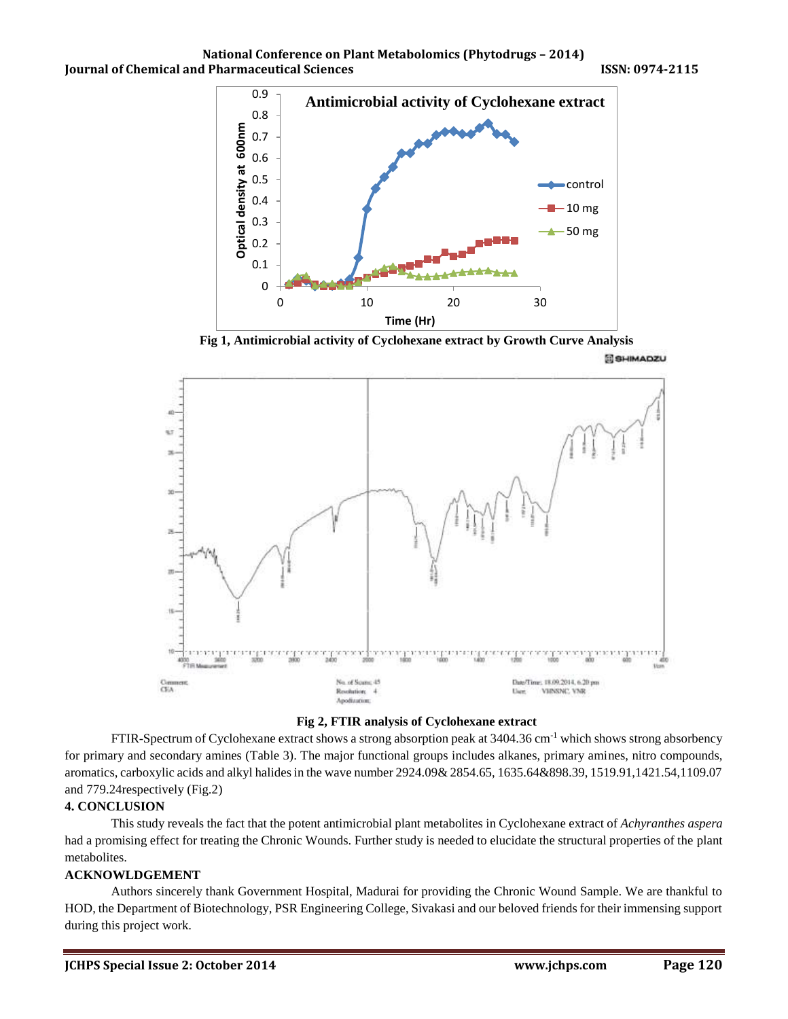





# **Fig 2, FTIR analysis of Cyclohexane extract**

FTIR-Spectrum of Cyclohexane extract shows a strong absorption peak at 3404.36 cm-1 which shows strong absorbency for primary and secondary amines (Table 3). The major functional groups includes alkanes, primary amines, nitro compounds, aromatics, carboxylic acids and alkyl halides in the wave number 2924.09& 2854.65, 1635.64&898.39, 1519.91,1421.54,1109.07 and 779.24respectively (Fig.2)

# **4. CONCLUSION**

This study reveals the fact that the potent antimicrobial plant metabolites in Cyclohexane extract of *Achyranthes aspera* had a promising effect for treating the Chronic Wounds. Further study is needed to elucidate the structural properties of the plant metabolites.

# **ACKNOWLDGEMENT**

Authors sincerely thank Government Hospital, Madurai for providing the Chronic Wound Sample. We are thankful to HOD, the Department of Biotechnology, PSR Engineering College, Sivakasi and our beloved friends for their immensing support during this project work.